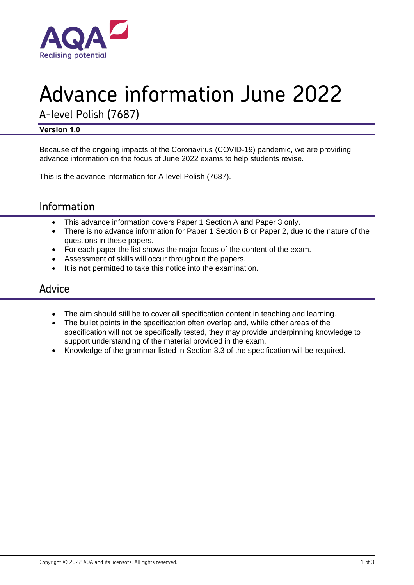

# Advance information June 2022

A-level Polish (7687)

#### **Version 1.0**

Because of the ongoing impacts of the Coronavirus (COVID-19) pandemic, we are providing advance information on the focus of June 2022 exams to help students revise.

This is the advance information for A-level Polish (7687).

# Information

- This advance information covers Paper 1 Section A and Paper 3 only.
- There is no advance information for Paper 1 Section B or Paper 2, due to the nature of the questions in these papers.
- For each paper the list shows the major focus of the content of the exam.
- Assessment of skills will occur throughout the papers.
- It is **not** permitted to take this notice into the examination.

## Advice

- The aim should still be to cover all specification content in teaching and learning.
- The bullet points in the specification often overlap and, while other areas of the specification will not be specifically tested, they may provide underpinning knowledge to support understanding of the material provided in the exam.
- Knowledge of the grammar listed in Section 3.3 of the specification will be required.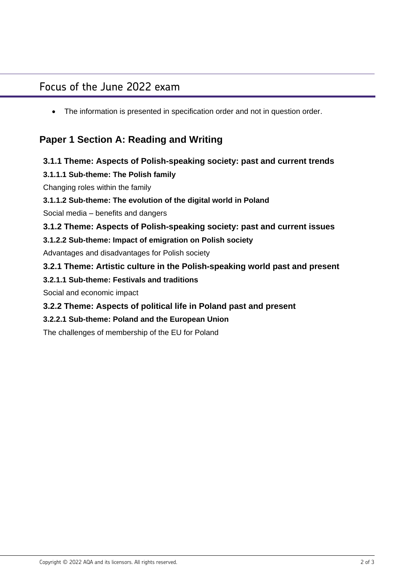# Focus of the June 2022 exam

• The information is presented in specification order and not in question order.

## **Paper 1 Section A: Reading and Writing**

#### **3.1.1 Theme: Aspects of Polish-speaking society: past and current trends**

#### **3.1.1.1 Sub-theme: The Polish family**

Changing roles within the family

#### **3.1.1.2 Sub-theme: The evolution of the digital world in Poland**

Social media – benefits and dangers

#### **3.1.2 Theme: Aspects of Polish-speaking society: past and current issues**

#### **3.1.2.2 Sub-theme: Impact of emigration on Polish society**

Advantages and disadvantages for Polish society

#### **3.2.1 Theme: Artistic culture in the Polish-speaking world past and present**

#### **3.2.1.1 Sub-theme: Festivals and traditions**

Social and economic impact

#### **3.2.2 Theme: Aspects of political life in Poland past and present**

#### **3.2.2.1 Sub-theme: Poland and the European Union**

The challenges of membership of the EU for Poland